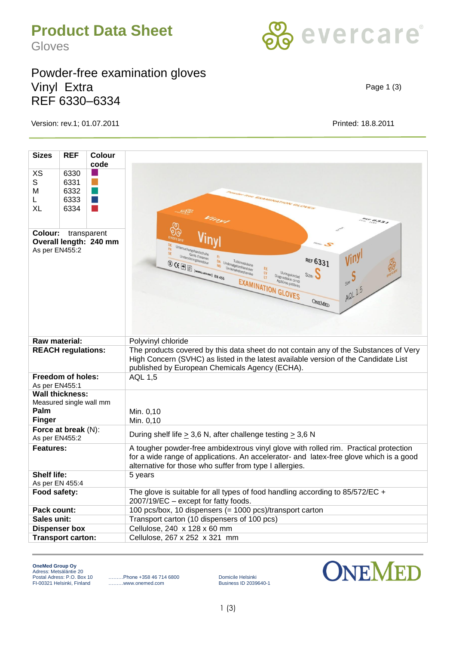## **Product Data Sheet**

Gloves

## Powder-free examination gloves Vinyl Extra REF 6330–6334

Version: rev.1; 01.07.2011 Printed: 18.8.2011

| <b>Sizes</b>                                                               | <b>REF</b>                           | Colour<br>code                                                                                                 |                                                                                                                                                                                                                                                                                                                                                                                                                                                                                                                                                                                                                                                                                                                                                                                                  |  |  |  |
|----------------------------------------------------------------------------|--------------------------------------|----------------------------------------------------------------------------------------------------------------|--------------------------------------------------------------------------------------------------------------------------------------------------------------------------------------------------------------------------------------------------------------------------------------------------------------------------------------------------------------------------------------------------------------------------------------------------------------------------------------------------------------------------------------------------------------------------------------------------------------------------------------------------------------------------------------------------------------------------------------------------------------------------------------------------|--|--|--|
| XS<br>S<br>м<br>L<br>XL                                                    | 6330<br>6331<br>6332<br>6333<br>6334 | and the state of the state of the state of the state of the state of the state of the state of the state of th | <b>SWITCH FOR EXAMINATION GLOVES</b><br><b>Contract</b><br>ARK 6331                                                                                                                                                                                                                                                                                                                                                                                                                                                                                                                                                                                                                                                                                                                              |  |  |  |
| Colour:<br>transparent<br>Overall length: 240 mm<br>As per EN455:2         |                                      |                                                                                                                | Untersuchungshandschuhe<br><b>FR</b><br>SE<br>Gants d'examen<br>Undersökningshandskar<br>REF 6331<br>DA Undersøgelseshandsker<br>$\textcircled{3} \ \textsf{CE} \ \textcircled{F} \ \textcircled{F} \ \textcircled{F} \ \textcircled{F} \ \textcircled{F} \ \textcircled{F} \ \textcircled{F} \ \textcircled{F} \ \textcircled{F} \ \textcircled{F} \ \textcircled{F} \ \textcircled{F} \ \textcircled{F} \ \textcircled{F} \ \textcircled{F} \ \textcircled{F} \ \textcircled{F} \ \textcircled{F} \ \textcircled{F} \ \textcircled{F} \ \textcircled{F} \ \textcircled{F} \ \textcircled{F} \ \textcircled{F} \ \textcircled{F} \ \textcircled{$<br>Undersøkelseshanske<br>EE<br>LV<br>Uuringukindad<br>Size:<br>Diagnostiskie cimdi<br>LT<br>size:<br>EXAMINATION GLOVES<br>AQL 1.5<br>ONEMED |  |  |  |
| Raw material:                                                              |                                      |                                                                                                                | Polyvinyl chloride                                                                                                                                                                                                                                                                                                                                                                                                                                                                                                                                                                                                                                                                                                                                                                               |  |  |  |
| <b>REACH regulations:</b>                                                  |                                      |                                                                                                                | The products covered by this data sheet do not contain any of the Substances of Very<br>High Concern (SVHC) as listed in the latest available version of the Candidate List<br>published by European Chemicals Agency (ECHA).                                                                                                                                                                                                                                                                                                                                                                                                                                                                                                                                                                    |  |  |  |
| <b>Freedom of holes:</b><br>As per EN455:1                                 |                                      |                                                                                                                | <b>AQL 1,5</b>                                                                                                                                                                                                                                                                                                                                                                                                                                                                                                                                                                                                                                                                                                                                                                                   |  |  |  |
| <b>Wall thickness:</b><br>Measured single wall mm<br>Palm<br><b>Finger</b> |                                      |                                                                                                                | Min. 0,10<br>Min. 0,10                                                                                                                                                                                                                                                                                                                                                                                                                                                                                                                                                                                                                                                                                                                                                                           |  |  |  |
| Force at break (N):<br>As per EN455:2                                      |                                      |                                                                                                                | During shelf life $\geq$ 3,6 N, after challenge testing $\geq$ 3,6 N                                                                                                                                                                                                                                                                                                                                                                                                                                                                                                                                                                                                                                                                                                                             |  |  |  |
| <b>Features:</b>                                                           |                                      |                                                                                                                | A tougher powder-free ambidextrous vinyl glove with rolled rim. Practical protection<br>for a wide range of applications. An accelerator- and latex-free glove which is a good<br>alternative for those who suffer from type I allergies.                                                                                                                                                                                                                                                                                                                                                                                                                                                                                                                                                        |  |  |  |
| <b>Shelf life:</b><br>As per EN 455:4                                      |                                      |                                                                                                                | 5 years                                                                                                                                                                                                                                                                                                                                                                                                                                                                                                                                                                                                                                                                                                                                                                                          |  |  |  |
| Food safety:                                                               |                                      |                                                                                                                | The glove is suitable for all types of food handling according to $85/572/EC +$<br>2007/19/EC - except for fatty foods.                                                                                                                                                                                                                                                                                                                                                                                                                                                                                                                                                                                                                                                                          |  |  |  |
| Pack count:                                                                |                                      |                                                                                                                | 100 pcs/box, 10 dispensers (= 1000 pcs)/transport carton                                                                                                                                                                                                                                                                                                                                                                                                                                                                                                                                                                                                                                                                                                                                         |  |  |  |
| Sales unit:                                                                |                                      |                                                                                                                | Transport carton (10 dispensers of 100 pcs)                                                                                                                                                                                                                                                                                                                                                                                                                                                                                                                                                                                                                                                                                                                                                      |  |  |  |
| <b>Dispenser box</b>                                                       |                                      |                                                                                                                | Cellulose, 240 x 128 x 60 mm                                                                                                                                                                                                                                                                                                                                                                                                                                                                                                                                                                                                                                                                                                                                                                     |  |  |  |
| <b>Transport carton:</b>                                                   |                                      |                                                                                                                | Cellulose, 267 x 252 x 321 mm                                                                                                                                                                                                                                                                                                                                                                                                                                                                                                                                                                                                                                                                                                                                                                    |  |  |  |
|                                                                            |                                      |                                                                                                                |                                                                                                                                                                                                                                                                                                                                                                                                                                                                                                                                                                                                                                                                                                                                                                                                  |  |  |  |

Page 1 (3)



**OneMed Group Oy** Adress: Metsäläntie 20<br>Postal Adress: P.O. Box 10 FI-00321 Helsinki, Finland

Postal Adress: P.O. Box 10 ………Phone +358 46 714 6800 Domicile Helsinki

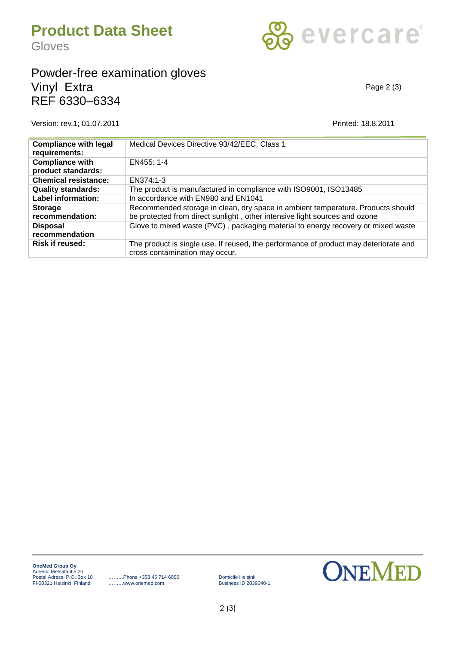

## Powder-free examination gloves Vinyl Extra REF 6330–6334

Version: rev.1; 01.07.2011 Printed: 18.8.2011

Page 2 (3)

| <b>Compliance with legal</b><br>requirements: | Medical Devices Directive 93/42/EEC, Class 1                                                                                                                  |
|-----------------------------------------------|---------------------------------------------------------------------------------------------------------------------------------------------------------------|
| <b>Compliance with</b><br>product standards:  | EN455: 1-4                                                                                                                                                    |
| <b>Chemical resistance:</b>                   | EN374:1-3                                                                                                                                                     |
| <b>Quality standards:</b>                     | The product is manufactured in compliance with ISO9001, ISO13485                                                                                              |
| <b>Label information:</b>                     | In accordance with EN980 and EN1041                                                                                                                           |
| <b>Storage</b><br>recommendation:             | Recommended storage in clean, dry space in ambient temperature. Products should<br>be protected from direct sunlight, other intensive light sources and ozone |
| <b>Disposal</b><br>recommendation             | Glove to mixed waste (PVC), packaging material to energy recovery or mixed waste                                                                              |
| <b>Risk if reused:</b>                        | The product is single use. If reused, the performance of product may deteriorate and<br>cross contamination may occur.                                        |

Postal Adress: P.O. Box 10 ………Phone +358 46 714 6800 Domicile Helsinki